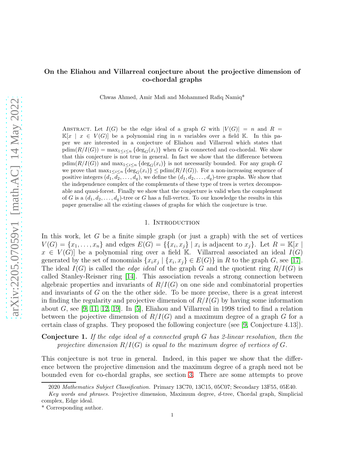Chwas Ahmed, Amir Mafi and Mohammed Rafiq Namiq\*

ABSTRACT. Let  $I(G)$  be the edge ideal of a graph G with  $|V(G)| = n$  and  $R =$  $\mathbb{K}[x \mid x \in V(G)]$  be a polynomial ring in n variables over a field K. In this paper we are interested in a conjecture of Eliahou and Villarreal which states that  $\text{pdim}(R/I(G)) = \max_{1 \leq i \leq n} {\text{deg}_G(x_i)}$  when G is connected and co-chordal. We show that this conjecture is not true in general. In fact we show that the difference between  $pdim(R/I(G))$  and  $max_{1\leq i\leq n} {\deg_G(x_i)}$  is not necessarily bounded. For any graph G we prove that  $\max_{1 \leq i \leq n} {\deg_G(x_i)} \leq \text{pdim}(R/I(G))$ . For a non-increasing sequence of positive integers  $(d_1, d_2, \ldots, d_q)$ , we define the  $(d_1, d_2, \ldots, d_q)$ -tree graphs. We show that the independence complex of the complements of these type of trees is vertex decomposable and quasi-forest. Finally we show that the conjecture is valid when the complement of G is a  $(d_1, d_2, \ldots, d_q)$ -tree or G has a full-vertex. To our knowledge the results in this paper generalise all the existing classes of graphs for which the conjecture is true.

### 1. INTRODUCTION

In this work, let G be a finite simple graph (or just a graph) with the set of vertices  $V(G) = \{x_1, \ldots, x_n\}$  and edges  $E(G) = \{\{x_i, x_j\} \mid x_i \text{ is adjacent to } x_j\}$ . Let  $R = \mathbb{K}[x]$  $x \in V(G)$  be a polynomial ring over a field K. Villarreal associated an ideal  $I(G)$ generated by the set of monomials  $\{x_ix_j \mid \{x_i, x_j\} \in E(G)\}\$ in R to the graph G, see [\[17\]](#page-13-0). The ideal  $I(G)$  is called the *edge ideal* of the graph G and the quotient ring  $R/I(G)$  is called Stanley-Reisner ring [\[14\]](#page-13-1). This association reveals a strong connection between algebraic properties and invariants of  $R/I(G)$  on one side and combinatorial properties and invariants of G on the the other side. To be more precise, there is a great interest in finding the regularity and projective dimension of  $R/I(G)$  by having some information about G, see [\[9,](#page-13-2) [11,](#page-13-3) [12,](#page-13-4) [19\]](#page-13-5). In [\[5\]](#page-13-6), Eliahou and Villarreal in 1998 tried to find a relation between the pojective dimension of  $R/I(G)$  and a maximum degree of a graph G for a certain class of graphs. They proposed the following conjecture (see [\[9,](#page-13-2) Conjecture 4.13]).

Conjecture 1. If the edge ideal of a connected graph G has 2-linear resolution, then the projective dimension  $R/I(G)$  is equal to the maximum degree of vertices of G.

This conjecture is not true in general. Indeed, in this paper we show that the difference between the projective dimension and the maximum degree of a graph need not be bounded even for co-chordal graphs, see section [3.](#page-3-0) There are some attempts to prove

<sup>2020</sup> Mathematics Subject Classification. Primary 13C70, 13C15, 05C07; Secondary 13F55, 05E40.

Key words and phrases. Projective dimension, Maximum degree, d-tree, Chordal graph, Simplicial complex, Edge ideal.

<sup>\*</sup> Corresponding author.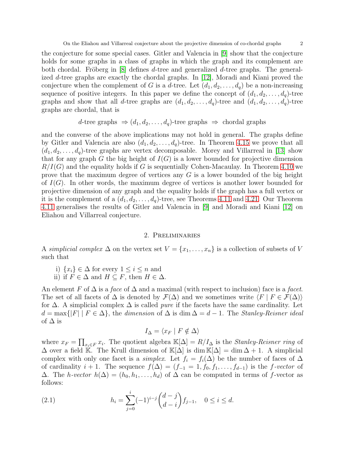the conjecture for some special cases. Gitler and Valencia in [\[9\]](#page-13-2) show that the conjecture holds for some graphs in a class of graphs in which the graph and its complement are both chordal. Fröberg in [\[8\]](#page-13-7) defines d-tree and generalized d-tree graphs. The generalized d-tree graphs are exactly the chordal graphs. In [\[12\]](#page-13-4), Moradi and Kiani proved the conjecture when the complement of G is a d-tree. Let  $(d_1, d_2, \ldots, d_q)$  be a non-increasing sequence of positive integers. In this paper we define the concept of  $(d_1, d_2, \ldots, d_q)$ -tree graphs and show that all d-tree graphs are  $(d_1, d_2, \ldots, d_q)$ -tree and  $(d_1, d_2, \ldots, d_q)$ -tree graphs are chordal, that is

d-tree graphs 
$$
\Rightarrow
$$
  $(d_1, d_2, \dots, d_q)$ -tree graphs  $\Rightarrow$  chordal graphs

and the converse of the above implications may not hold in general. The graphs define by Gitler and Valencia are also  $(d_1, d_2, \ldots, d_q)$ -tree. In Theorem [4.15](#page-8-0) we prove that all  $(d_1, d_2, \ldots, d_q)$ -tree graphs are vertex decomposable. Morey and Villarreal in [\[13\]](#page-13-8) show that for any graph G the big height of  $I(G)$  is a lower bounded for projective dimension  $R/I(G)$  and the equality holds if G is sequentially Cohen-Macaulay. In Theorem [4.10](#page-6-0) we prove that the maximum degree of vertices any  $G$  is a lower bounded of the big height of  $I(G)$ . In other words, the maximum degree of vertices is another lower bounded for projective dimension of any graph and the equality holds if the graph has a full vertex or it is the complement of a  $(d_1, d_2, \ldots, d_q)$ -tree, see Theorems [4.11](#page-6-1) and [4.21.](#page-10-0) Our Theorem [4.11](#page-6-1) generalises the results of Gitler and Valencia in [\[9\]](#page-13-2) and Moradi and Kiani [\[12\]](#page-13-4) on Eliahou and Villarreal conjecture.

## 2. Preliminaries

A simplicial complex  $\Delta$  on the vertex set  $V = \{x_1, \ldots, x_n\}$  is a collection of subsets of V such that

- i)  $\{x_i\} \in \Delta$  for every  $1 \leq i \leq n$  and
- ii) if  $F \in \Delta$  and  $H \subseteq F$ , then  $H \in \Delta$ .

An element F of  $\Delta$  is a face of  $\Delta$  and a maximal (with respect to inclusion) face is a facet. The set of all facets of  $\Delta$  is denoted by  $\mathcal{F}(\Delta)$  and we sometimes write  $\langle F | F \in \mathcal{F}(\Delta) \rangle$ for  $\Delta$ . A simplicial complex  $\Delta$  is called *pure* if the facets have the same cardinality. Let  $d = \max\{|F| \mid F \in \Delta\}$ , the dimension of  $\Delta$  is dim  $\Delta = d - 1$ . The *Stanley-Reisner ideal* of  $\Delta$  is

$$
I_{\Delta} = \langle x_F | F \notin \Delta \rangle
$$

where  $x_F = \prod_{x_i \in F} x_i$ . The quotient algebra  $\mathbb{K}[\Delta] = R/I_{\Delta}$  is the *Stanley-Reisner ring* of  $\Delta$  over a field K. The Krull dimension of K[ $\Delta$ ] is dim K[ $\Delta$ ] = dim  $\Delta + 1$ . A simplicial complex with only one facet is a *simplex*. Let  $f_i = f_i(\Delta)$  be the number of faces of  $\Delta$ of cardinality  $i + 1$ . The sequence  $f(\Delta) = (f_{-1} = 1, f_0, f_1, \ldots, f_{d-1})$  is the f-vector of  $\Delta$ . The *h-vector*  $h(\Delta) = (h_0, h_1, \ldots, h_d)$  of  $\Delta$  can be computed in terms of f-vector as follows:

<span id="page-1-0"></span>(2.1) 
$$
h_i = \sum_{j=0}^i (-1)^{i-j} {d-j \choose d-i} f_{j-1}, \quad 0 \le i \le d.
$$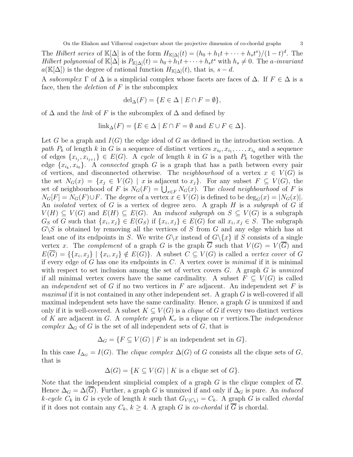The *Hilbert series* of  $\mathbb{K}[\Delta]$  is of the form  $H_{\mathbb{K}[\Delta]}(t) = (h_0 + h_1 t + \cdots + h_s t^s)/(1-t)^d$ . The Hilbert polynomial of  $\mathbb{K}[\Delta]$  is  $P_{\mathbb{K}[\Delta]}(t) = h_0 + h_1 t + \cdots + h_s t^s$  with  $h_s \neq 0$ . The a-invariant  $a(\mathbb{K}[\Delta])$  is the degree of rational function  $H_{\mathbb{K}[\Delta]}(t)$ , that is,  $s - d$ .

A subcomplex  $\Gamma$  of  $\Delta$  is a simplicial complex whose facets are faces of  $\Delta$ . If  $F \in \Delta$  is a face, then the *deletion* of  $F$  is the subcomplex

$$
\text{del}_{\Delta}(F) = \{ E \in \Delta \mid E \cap F = \emptyset \},
$$

of  $\Delta$  and the *link* of F is the subcomplex of  $\Delta$  and defined by

$$
\operatorname{link}_{\Delta}(F) = \{ E \in \Delta \mid E \cap F = \emptyset \text{ and } E \cup F \in \Delta \}.
$$

Let G be a graph and  $I(G)$  the edge ideal of G as defined in the introduction section. A path  $P_k$  of length k in G is a sequence of distinct vertices  $x_{i_0}, x_{i_1}, \ldots, x_{i_k}$  and a sequence of edges  $\{x_{i_j}, x_{i_{j+1}}\} \in E(G)$ . A cycle of length k in G is a path  $P_k$  together with the edge  $\{x_{i_k}, x_{i_0}\}$ . A connected graph G is a graph that has a path between every pair of vertices, and disconnected otherwise. The *neighbourhood* of a vertex  $x \in V(G)$  is the set  $N_G(x) = \{x_j \in V(G) \mid x \text{ is adjacent to } x_j\}$ . For any subset  $F \subseteq V(G)$ , the set of neighbourhood of F is  $N_G(F) = \bigcup_{x \in F} N_G(x)$ . The closed neighbourhood of F is  $N_G[F] = N_G(F) \cup F$ . The *degree* of a vertex  $x \in V(G)$  is defined to be  $\deg_G(x) = |N_G(x)|$ . An *isolated* vertex of G is a vertex of degree zero. A graph H is a *subgraph* of G if  $V(H) \subseteq V(G)$  and  $E(H) \subseteq E(G)$ . An *induced subgraph* on  $S \subseteq V(G)$  is a subgraph  $G_S$  of G such that  $\{x_i, x_j\} \in E(G_S)$  if  $\{x_i, x_j\} \in E(G)$  for all  $x_i, x_j \in S$ . The subgraph  $G\backslash S$  is obtained by removing all the vertices of S from G and any edge which has at least one of its endpoints in S. We write  $G\backslash x$  instead of  $G\backslash \{x\}$  if S consists of a single vertex x. The complement of a graph G is the graph  $\overline{G}$  such that  $V(G) = V(\overline{G})$  and  $E(G) = \{ \{x_i, x_j\} \mid \{x_i, x_j\} \notin E(G) \}.$  A subset  $C \subseteq V(G)$  is called a vertex cover of G if every edge of G has one its endpoints in  $C$ . A vertex cover is *minimal* if it is minimal with respect to set inclusion among the set of vertex covers  $G$ . A graph  $G$  is unmixed if all minimal vertex covers have the same cardinality. A subset  $F \subseteq V(G)$  is called an *independent* set of G if no two vertices in F are adjacent. An independent set F is *maximal* if it is not contained in any other independent set. A graph  $G$  is well-covered if all maximal independent sets have the same cardinality. Hence, a graph  $G$  is unmixed if and only if it is well-covered. A subset  $K \subseteq V(G)$  is a *clique* of G if every two distinct vertices of K are adjacent in G. A complete graph  $\mathcal{K}_r$  is a clique on r vertices. The *independence* complex  $\Delta_G$  of G is the set of all independent sets of G, that is

$$
\Delta_G = \{ F \subseteq V(G) \mid F \text{ is an independent set in } G \}.
$$

In this case  $I_{\Delta_G} = I(G)$ . The *clique complex*  $\Delta(G)$  of G consists all the clique sets of G, that is

$$
\Delta(G) = \{ K \subseteq V(G) \mid K \text{ is a clique set of } G \}.
$$

Note that the independent simplicial complex of a graph  $G$  is the clique complex of  $G$ . Hence  $\Delta_G = \Delta(\overline{G})$ . Further, a graph G is unmixed if and only if  $\Delta_G$  is pure. An *induced* k-cycle  $C_k$  in G is cycle of length k such that  $G_{V(C_k)} = C_k$ . A graph G is called *chordal* if it does not contain any  $C_k$ ,  $k \geq 4$ . A graph G is co-chordal if  $\overline{G}$  is chordal.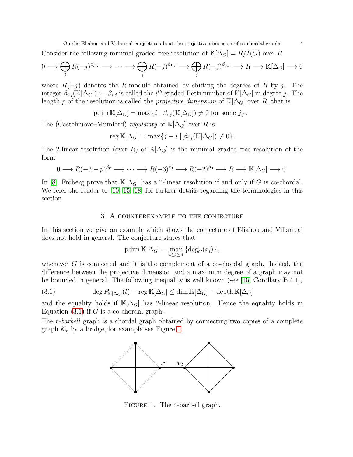Consider the following minimal graded free resolution of  $\mathbb{K}[\Delta_G] = R/I(G)$  over R

$$
0 \longrightarrow \bigoplus_{j} R(-j)^{\beta_{p,j}} \longrightarrow \cdots \longrightarrow \bigoplus_{j} R(-j)^{\beta_{1,j}} \longrightarrow \bigoplus_{j} R(-j)^{\beta_{0,j}} \longrightarrow R \longrightarrow \mathbb{K}[\Delta_G] \longrightarrow 0
$$

where  $R(-j)$  denotes the R-module obtained by shifting the degrees of R by j. The integer  $\beta_{i,j}(\mathbb{K}[\Delta_G]) := \beta_{i,j}$  is called the  $i^{th}$  graded Betti number of  $\mathbb{K}[\Delta_G]$  in degree j. The length p of the resolution is called the projective dimension of  $\mathbb{K}[\Delta_G]$  over R, that is

$$
\text{pdim }\mathbb{K}[\Delta_G] = \max \{ i \mid \beta_{i,j}(\mathbb{K}[\Delta_G]) \neq 0 \text{ for some } j \}.
$$

The (Castelnuovo–Mumford) regularity of  $\mathbb{K}[\Delta_G]$  over R is

$$
\operatorname{reg}\mathbb{K}[\Delta_G] = \max\{j - i \mid \beta_{i,j}(\mathbb{K}[\Delta_G]) \neq 0\}.
$$

The 2-linear resolution (over R) of  $\mathbb{K}[\Delta_G]$  is the minimal graded free resolution of the form

$$
0 \longrightarrow R(-2-p)^{\beta_p} \longrightarrow \cdots \longrightarrow R(-3)^{\beta_1} \longrightarrow R(-2)^{\beta_0} \longrightarrow R \longrightarrow \mathbb{K}[\Delta_G] \longrightarrow 0.
$$

<span id="page-3-0"></span>In [\[8\]](#page-13-7), Fröberg prove that  $\mathbb{K}[\Delta_G]$  has a 2-linear resolution if and only if G is co-chordal. We refer the reader to [\[10,](#page-13-9) [15,](#page-13-10) [18\]](#page-13-11) for further details regarding the terminologies in this section.

## 3. A counterexample to the conjecture

In this section we give an example which shows the conjecture of Eliahou and Villarreal does not hold in general. The conjecture states that

$$
\mathrm{pdim}\,\mathbb{K}[\Delta_G] = \max_{1 \le i \le n} \left\{ \mathrm{deg}_G(x_i) \right\},\,
$$

whenever  $G$  is connected and it is the complement of a co-chordal graph. Indeed, the difference between the projective dimension and a maximum degree of a graph may not be bounded in general. The following inequality is well known (see [\[16,](#page-13-12) Corollary B.4.1])

<span id="page-3-1"></span>(3.1) 
$$
\deg P_{\mathbb{K}[\Delta_G]}(t) - \operatorname{reg} \mathbb{K}[\Delta_G] \le \dim \mathbb{K}[\Delta_G] - \operatorname{depth} \mathbb{K}[\Delta_G]
$$

and the equality holds if  $\mathbb{K}[\Delta_G]$  has 2-linear resolution. Hence the equality holds in Equation  $(3.1)$  if G is a co-chordal graph.

<span id="page-3-2"></span>The r-barbell graph is a chordal graph obtained by connecting two copies of a complete graph  $\mathcal{K}_r$  by a bridge, for example see Figure [1.](#page-3-2)



FIGURE 1. The 4-barbell graph.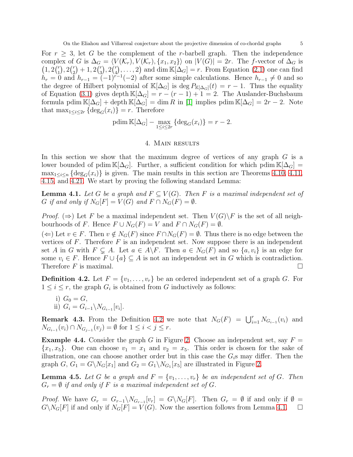For  $r \geq 3$ , let G be the complement of the r-barbell graph. Then the independence complex of G is  $\Delta_G = \langle V(\mathcal{K}_r), V(\mathcal{K}_r), \{x_1, x_2\}\rangle$  on  $|V(G)| = 2r$ . The f-vector of  $\Delta_G$  is  $(1, 2\binom{r}{1}$  $\binom{r}{1}, 2\binom{r}{2}$  $\binom{r}{2}+1, 2\binom{r}{3}$  $\binom{r}{3}, 2\binom{r}{4}$  $\binom{r}{4}, \ldots, 2$  and dim  $\mathbb{K}[\Delta_G] = r$ . From Equation [\(2.1\)](#page-1-0) one can find  $h_r = 0$  and  $h_{r-1} = (-1)^{r-1}(-2)$  after some simple calculations. Hence  $h_{r-1} \neq 0$  and so the degree of Hilbert polynomial of  $\mathbb{K}[\Delta_G]$  is deg  $P_{\mathbb{K}[\Delta_G]}(t) = r - 1$ . Thus the equality of Equation [\(3.1\)](#page-3-1) gives depth  $\mathbb{K}[\Delta_G] = r - (r - 1) + 1 = 2$ . The Auslander-Buchsbaum formula pdim  $\mathbb{K}[\Delta_G] + \text{depth } \mathbb{K}[\Delta_G] = \dim R$  in [\[1\]](#page-13-13) implies pdim  $\mathbb{K}[\Delta_G] = 2r - 2$ . Note that  $\max_{1 \leq i \leq 2r} {\deg_G(x_i)} = r$ . Therefore

$$
\text{pdim }\mathbb{K}[\Delta_G] - \max_{1 \le i \le 2r} \left\{ \deg_G(x_i) \right\} = r - 2.
$$

### 4. Main results

In this section we show that the maximum degree of vertices of any graph G is a lower bounded of pdim K[ $\Delta_G$ ]. Further, a sufficient condition for which pdim K[ $\Delta_G$ ] =  $\max_{1 \leq i \leq n} {\deg_G(x_i)}$  is given. The main results in this section are Theorems [4.10,](#page-6-0) [4.11,](#page-6-1) [4.15,](#page-8-0) and [4.21.](#page-10-0) We start by proving the following standard Lemma:

<span id="page-4-1"></span>**Lemma 4.1.** Let G be a graph and  $F \subseteq V(G)$ . Then F is a maximal independent set of G if and only if  $N_G[F] = V(G)$  and  $F \cap N_G(F) = \emptyset$ .

*Proof.* ( $\Rightarrow$ ) Let F be a maximal independent set. Then  $V(G)\backslash F$  is the set of all neighbourhoods of F. Hence  $F \cup N_G(F) = V$  and  $F \cap N_G(F) = \emptyset$ .

(←) Let  $v \in F$ . Then  $v \notin N_G(F)$  since  $F \cap N_G(F) = \emptyset$ . Thus there is no edge between the vertices of  $F$ . Therefore  $F$  is an independent set. Now suppose there is an independent set A in G with  $F \subsetneq A$ . Let  $a \in A \backslash F$ . Then  $a \in N_G(F)$  and so  $\{a, v_i\}$  is an edge for some  $v_i \in F$ . Hence  $F \cup \{a\} \subseteq A$  is not an independent set in G which is contradiction. Therefore  $F$  is maximal.

<span id="page-4-0"></span>**Definition 4.2.** Let  $F = \{v_1, \ldots, v_r\}$  be an ordered independent set of a graph G. For  $1 \leq i \leq r$ , the graph  $G_i$  is obtained from G inductively as follows:

i) 
$$
G_0 = G
$$
,  
ii)  $G_i = G_{i-1} \setminus N_{G_{i-1}}[v_i]$ .

**Remark 4.3.** From the Definition [4.2](#page-4-0) we note that  $N_G(F) = \bigcup_{i=1}^r N_{G_{i-1}}(v_i)$  and  $N_{G_{i-1}}(v_i) \cap N_{G_{j-1}}(v_j) = \emptyset$  for  $1 \leq i < j \leq r$ .

**Example 4.4.** Consider the graph G in Figure [2.](#page-5-0) Choose an independent set, say  $F =$  ${x_1, x_5}$ . One can choose  $v_1 = x_1$  and  $v_2 = x_5$ . This order is chosen for the sake of illustration, one can choose another order but in this case the  $G_i$ s may differ. Then the graph  $G, G_1 = G \backslash N_G[x_1]$  and  $G_2 = G_1 \backslash N_{G_1}[x_5]$  are illustrated in Figure [2.](#page-5-0)

<span id="page-4-2"></span>**Lemma 4.5.** Let G be a graph and  $F = \{v_1, \ldots, v_r\}$  be an independent set of G. Then  $G_r = \emptyset$  if and only if F is a maximal independent set of G.

*Proof.* We have  $G_r = G_{r-1} \setminus N_{G_{r-1}}[v_r] = G \setminus N_G[F]$ . Then  $G_r = \emptyset$  if and only if  $\emptyset =$  $G\backslash N_G[F]$  if and only if  $N_G[F] = V(G)$ . Now the assertion follows from Lemma [4.1.](#page-4-1)  $\Box$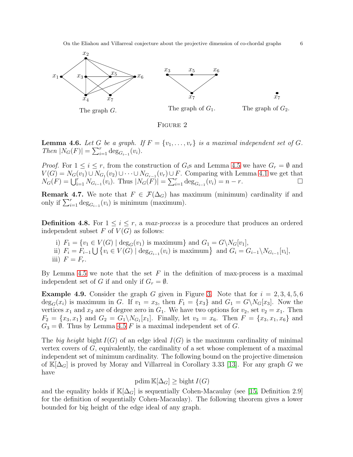<span id="page-5-0"></span>

FIGURE 2

<span id="page-5-1"></span>**Lemma 4.6.** Let G be a graph. If  $F = \{v_1, \ldots, v_r\}$  is a maximal independent set of G. Then  $|N_G(F)| = \sum_{i=1}^r \deg_{G_{i-1}}(v_i)$ .

*Proof.* For  $1 \leq i \leq r$ , from the construction of  $G_i$ s and Lemma [4.5](#page-4-2) we have  $G_r = \emptyset$  and  $V(G) = N_G(v_1) \cup N_{G_1}(v_2) \cup \cdots \cup N_{G_{r-1}}(v_r) \cup F$ . Comparing with Lemma [4.1](#page-4-1) we get that  $N_G(F) = \bigcup_{i=1}^r N_{G_{i-1}}(v_i)$ . Thus  $|N_G(F)| = \sum_{i=1}^r \deg_{G_{i-1}}(v_i) = n - r$ .

**Remark 4.7.** We note that  $F \in \mathcal{F}(\Delta_G)$  has maximum (minimum) cardinality if and only if  $\sum_{i=1}^r \deg_{G_{i-1}}(v_i)$  is minimum (maximum).

**Definition 4.8.** For  $1 \leq i \leq r$ , a max-process is a procedure that produces an ordered independent subset  $F$  of  $V(G)$  as follows:

i)  $F_1 = \{v_1 \in V(G) \mid \deg_G(v_1) \text{ is maximum}\}\text{ and } G_1 = G \setminus N_G[v_1],$ ii)  $F_i = F_{i-1} \bigcup \{ v_i \in V(G) \mid \deg_{G_{i-1}}(v_i) \text{ is maximum} \}$  and  $G_i = G_{i-1} \setminus N_{G_{i-1}}[v_i],$ iii)  $F = F_r$ .

By Lemma [4.5](#page-4-2) we note that the set  $F$  in the definition of max-process is a maximal independent set of G if and only if  $G_r = \emptyset$ .

<span id="page-5-2"></span>**Example 4.9.** Consider the graph G given in Figure [3.](#page-6-2) Note that for  $i = 2, 3, 4, 5, 6$  $\deg_G(x_i)$  is maximum in G. If  $v_1 = x_3$ , then  $F_1 = \{x_3\}$  and  $G_1 = G\backslash N_G[x_3]$ . Now the vertices  $x_1$  and  $x_2$  are of degree zero in  $G_1$ . We have two options for  $v_2$ , set  $v_2 = x_1$ . Then  $F_2 = \{x_3, x_1\}$  and  $G_2 = G_1 \setminus N_{G_1}[x_1]$ . Finally, let  $v_3 = x_6$ . Then  $F = \{x_3, x_1, x_6\}$  and  $G_3 = \emptyset$ . Thus by Lemma [4.5](#page-4-2) F is a maximal independent set of G.

The big height bight  $I(G)$  of an edge ideal  $I(G)$  is the maximum cardinality of minimal vertex covers of  $G$ , equivalently, the cardinality of a set whose complement of a maximal independent set of minimum cardinality. The following bound on the projective dimension of  $\mathbb{K}[\Delta_G]$  is proved by Moray and Villarreal in Corollary 3.33 [\[13\]](#page-13-8). For any graph G we have

$$
\mathrm{pdim}\,\mathbb{K}[\Delta_G]\geq \mathrm{bight}\,I(G)
$$

and the equality holds if  $\mathbb{K}[\Delta_G]$  is sequentially Cohen-Macaulay (see [\[15,](#page-13-10) Definition 2.9] for the definition of sequentially Cohen-Macaulay). The following theorem gives a lower bounded for big height of the edge ideal of any graph.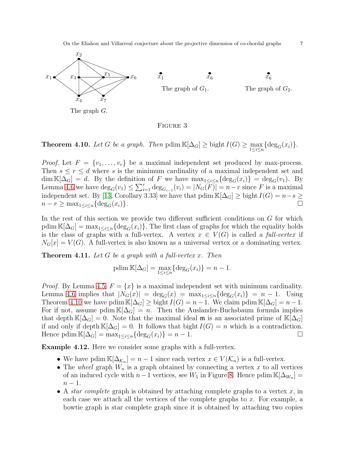<span id="page-6-2"></span>

Figure 3

<span id="page-6-0"></span>**Theorem 4.10.** Let G be a graph. Then  $\text{pdim }\mathbb{K}[\Delta_G] \geq \text{bight } I(G) \geq \max_{1 \leq i \leq n} {\deg_G(x_i)}$ .

*Proof.* Let  $F = \{v_1, \ldots, v_r\}$  be a maximal independent set produced by max-process. Then  $s \leq r \leq d$  where s is the minimum cardinality of a maximal independent set and  $\dim \mathbb{K}[\Delta_G] = d$ . By the definition of F we have  $\max_{1 \leq i \leq n} {\deg_G(x_i)} = \deg_G(v_1)$ . By Lemma [4.6](#page-5-1) we have  $\deg_G(v_1) \leq \sum_{i=1}^r \deg_{G_{i-1}}(v_i) = |N_G(\overline{F})| = n-r$  since F is a maximal independent set. By [\[13,](#page-13-8) Corollary 3.33] we have that pdim  $\mathbb{K}[\Delta_G] \geq \text{bight } I(G) = n-s \geq 1$  $n - r \geq \max_{1 \leq i \leq n} \{ \deg_G(x_i) \}.$ 

In the rest of this section we provide two different sufficient conditions on G for which pdim  $\mathbb{K}[\Delta_G] = \max_{1 \leq i \leq n} \{ \deg_G(x_i) \}.$  The first class of graphs for which the equality holds is the class of graphs with a full-vertex. A vertex  $x \in V(G)$  is called a full-vertex if  $N_G[x] = V(G)$ . A full-vertex is also known as a universal vertex or a dominating vertex.

<span id="page-6-1"></span>**Theorem 4.11.** Let G be a graph with a full-vertex x. Then

$$
\text{pdim }\mathbb{K}[\Delta_G] = \max_{1 \le i \le n} \{ \deg_G(x_i) \} = n - 1.
$$

*Proof.* By Lemma [4.5,](#page-4-2)  $F = \{x\}$  is a maximal independent set with minimum cardinality. Lemma [4.6](#page-5-1) implies that  $|N_G(x)| = \deg_G(x) = \max_{1 \leq i \leq n} {\deg_G(x_i)} = n - 1$ . Using Theorem [4.10](#page-6-0) we have pdim  $\mathbb{K}[\Delta_G] \geq$  bight  $I(G) = n - 1$ . We claim pdim  $\mathbb{K}[\Delta_G] = n - 1$ . For if not, assume pdim  $\mathbb{K}[\Delta_G] = n$ . Then the Auslander-Buchsbaum formula implies that depth  $\mathbb{K}[\Delta_G] = 0$ . Note that the maximal ideal m is an associated prime of  $\mathbb{K}[\Delta_G]$ if and only if depth  $\mathbb{K}[\Delta_G] = 0$ . It follows that bight  $I(G) = n$  which is a contradiction. Hence pdim  $\mathbb{K}[\Delta_G] = \max_{1 \leq i \leq n} \{ \deg_G(x_i) \} = n - 1.$ 

Example 4.12. Here we consider some graphs with a full-vertex.

- We have pdim  $\mathbb{K}[\Delta_{\mathcal{K}_n}] = n 1$  since each vertex  $x \in V(\mathcal{K}_n)$  is a full-vertex.
- The wheel graph  $W_n$  is a graph obtained by connecting a vertex x to all vertices of an induced cycle with  $n-1$  vertices, see  $W_5$  in Figure [8.](#page-11-0) Hence pdim  $\mathbb{K}[\Delta_{W_n}] =$  $n-1$ .
- A star complete graph is obtained by attaching complete graphs to a vertex  $x$ , in each case we attach all the vertices of the complete graphs to  $x$ . For example, a bowtie graph is star complete graph since it is obtained by attaching two copies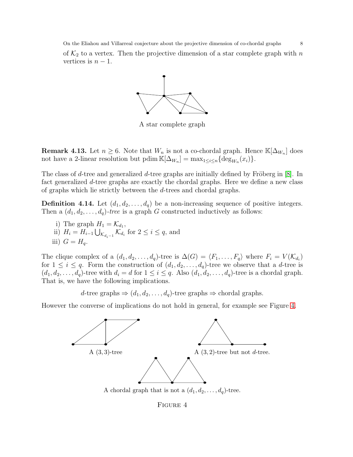of  $\mathcal{K}_2$  to a vertex. Then the projective dimension of a star complete graph with  $n$ vertices is  $n-1$ .



A star complete graph

**Remark 4.13.** Let  $n \geq 6$ . Note that  $W_n$  is not a co-chordal graph. Hence  $\mathbb{K}[\Delta_{W_n}]$  does not have a 2-linear resolution but pdim  $\mathbb{K}[\Delta_{W_n}] = \max_{1 \leq i \leq n} {\deg_{W_n}(x_i)}$ .

The class of d-tree and generalized d-tree graphs are initially defined by Fröberg in  $[8]$ . In fact generalized d-tree graphs are exactly the chordal graphs. Here we define a new class of graphs which lie strictly between the d-trees and chordal graphs.

<span id="page-7-1"></span>**Definition 4.14.** Let  $(d_1, d_2, \ldots, d_q)$  be a non-increasing sequence of positive integers. Then a  $(d_1, d_2, \ldots, d_q)$ -tree is a graph G constructed inductively as follows:

- i) The graph  $H_1 = \mathcal{K}_{d_1}$ ,
- ii)  $H_i = H_{i-1} \bigcup_{\mathcal{K}_{d_i-1}} \mathcal{K}_{d_i}$  for  $2 \leq i \leq q$ , and iii)  $G = H_a$ .

The clique complex of a  $(d_1, d_2, \ldots, d_q)$ -tree is  $\Delta(G) = \langle F_1, \ldots, F_q \rangle$  where  $F_i = V (\mathcal{K}_{d_i})$ for  $1 \leq i \leq q$ . Form the construction of  $(d_1, d_2, \ldots, d_q)$ -tree we observe that a d-tree is  $(d_1, d_2, \ldots, d_q)$ -tree with  $d_i = d$  for  $1 \leq i \leq q$ . Also  $(d_1, d_2, \ldots, d_q)$ -tree is a chordal graph. That is, we have the following implications.

d-tree graphs  $\Rightarrow$   $(d_1, d_2, \ldots, d_q)$ -tree graphs  $\Rightarrow$  chordal graphs.

<span id="page-7-0"></span>However the converse of implications do not hold in general, for example see Figure [4.](#page-7-0)



Figure 4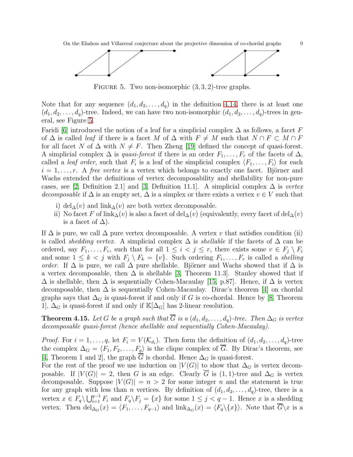<span id="page-8-1"></span>

FIGURE 5. Two non-isomorphic  $(3, 3, 2)$ -tree graphs.

Note that for any sequence  $(d_1, d_2, \ldots, d_q)$  in the definition [4.14,](#page-7-1) there is at least one  $(d_1, d_2, \ldots, d_q)$ -tree. Indeed, we can have two non-isomorphic  $(d_1, d_2, \ldots, d_q)$ -trees in general, see Figure [5.](#page-8-1)

Faridi [\[6\]](#page-13-14) introduced the notion of a leaf for a simplicial complex  $\Delta$  as follows, a facet F of  $\Delta$  is called *leaf* if there is a facet M of  $\Delta$  with  $F \neq M$  such that  $N \cap F \subset M \cap F$ for all facet N of  $\Delta$  with  $N \neq F$ . Then Zheng [\[19\]](#page-13-5) defined the concept of quasi-forest. A simplicial complex  $\Delta$  is *quasi-forest* if there is an order  $F_1, \ldots, F_r$  of the facets of  $\Delta$ , called a *leaf order*, such that  $F_i$  is a leaf of the simplicial complex  $\langle F_1, \ldots, F_i \rangle$  for each  $i = 1, \ldots, r$ . A free vertex is a vertex which belongs to exactly one facet. Björner and Wachs extended the definitions of vertex decomposability and shellability for non-pure cases, see [\[2,](#page-13-15) Definition 2.1] and [\[3,](#page-13-16) Definition 11.1]. A simplicial complex  $\Delta$  is vertex decomposable if  $\Delta$  is an empty set,  $\Delta$  is a simplex or there exists a vertex  $v \in V$  such that

- i) del $\Delta(v)$  and link $\Delta(v)$  are both vertex decomposable.
- ii) No facet F of link<sub>∆</sub>(v) is also a facet of del<sub>∆</sub>(v) (equivalently, every facet of del<sub>∆</sub>(v) is a facet of  $\Delta$ ).

If  $\Delta$  is pure, we call  $\Delta$  pure vertex decomposable. A vertex v that satisfies condition (ii) is called *shedding vertex*. A simplicial complex  $\Delta$  is *shellable* if the facets of  $\Delta$  can be ordered, say  $F_1, \ldots, F_r$ , such that for all  $1 \leq i \leq j \leq r$ , there exists some  $v \in F_j \setminus F_i$ and some  $1 \leq k \leq j$  with  $F_i \setminus F_k = \{v\}$ . Such ordering  $F_1, \ldots, F_r$  is called a *shelling order.* If  $\Delta$  is pure, we call  $\Delta$  pure shellable. Björner and Wachs showed that if  $\Delta$  is a vertex decomposable, then  $\Delta$  is shellable [\[3,](#page-13-16) Theorem 11.3]. Stanley showed that if  $\Delta$  is shellable, then  $\Delta$  is sequentially Cohen-Macaulay [\[15,](#page-13-10) p.87]. Hence, if  $\Delta$  is vertex decomposable, then  $\Delta$  is sequentially Cohen-Macaulay. Dirac's theorem [\[4\]](#page-13-17) on chordal graphs says that  $\Delta_G$  is quasi-forest if and only if G is co-chordal. Hence by [\[8,](#page-13-7) Theorem 1,  $\Delta_G$  is quasi-forest if and only if  $\mathbb{K}[\Delta_G]$  has 2-linear resolution.

<span id="page-8-0"></span>**Theorem 4.15.** Let G be a graph such that  $\overline{G}$  is a  $(d_1, d_2, \ldots, d_q)$ -tree. Then  $\Delta_G$  is vertex decomposable quasi-forest (hence shellable and sequentially Cohen-Macaulay).

*Proof.* For  $i = 1, \ldots, q$ , let  $F_i = V(\mathcal{K}_{d_i})$ . Then form the definition of  $(d_1, d_2, \ldots, d_q)$ -tree the complex  $\Delta_G = \langle F_1, F_2, \ldots, F_q \rangle$  is the clique complex of  $\overline{G}$ . By Dirac's theorem, see [\[4,](#page-13-17) Theorem 1 and 2], the graph G is chordal. Hence  $\Delta_G$  is quasi-forest.

For the rest of the proof we use induction on  $|V(G)|$  to show that  $\Delta_G$  is vertex decomposable. If  $|V(G)| = 2$ , then G is an edge. Clearly  $\overline{G}$  is (1, 1)-tree and  $\Delta_G$  is vertex decomposable. Suppose  $|V(G)| = n > 2$  for some integer n and the statement is true for any graph with less than *n* vertices. By definition of  $(d_1, d_2, \ldots, d_q)$ -tree, there is a vertex  $x \in F_q \setminus \bigcup_{i=1}^{q-1} F_i$  and  $F_q \setminus F_j = \{x\}$  for some  $1 \leq j < q-1$ . Hence x is a shedding vertex. Then  $\text{del}_{\Delta_G}(x) = \langle F_1, \ldots, F_{q-1} \rangle$  and  $\text{link}_{\Delta_G}(x) = \langle F_q \rangle \{x\}$ . Note that  $G \setminus x$  is a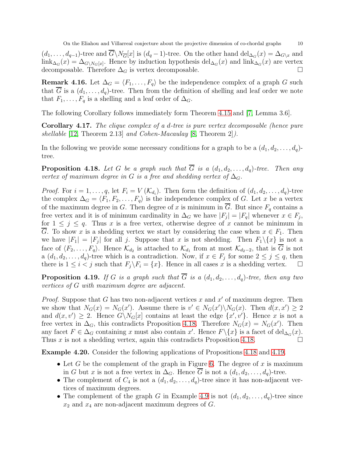$(d_1, \ldots, d_{q-1})$ -tree and  $G\backslash N_{\overline{G}}[x]$  is  $(d_q - 1)$ -tree. On the other hand  $\text{del}_{\Delta_G}(x) = \Delta_{G\backslash x}$  and  $\lim_{\Delta_G}(x) = \Delta_{G\setminus N_G[x]}$ . Hence by induction hypothesis del<sub> $\Delta_G(x)$ </sub> and  $\lim_{\Delta_G}(x)$  are vertex decomposable. Therefore  $\Delta_G$  is vertex decomposable.  $\Box$ 

**Remark 4.16.** Let  $\Delta_G = \langle F_1, \ldots, F_q \rangle$  be the independence complex of a graph G such that  $\overline{G}$  is a  $(d_1, \ldots, d_q)$ -tree. Then from the definition of shelling and leaf order we note that  $F_1, \ldots, F_q$  is a shelling and a leaf order of  $\Delta_G$ .

The following Corollary follows immediately form Theorem [4.15](#page-8-0) and [\[7,](#page-13-18) Lemma 3.6].

Corollary 4.17. The clique complex of a d-tree is pure vertex decomposable (hence pure shellable [\[12,](#page-13-4) Theorem 2.13] and Cohen-Macaulay [\[8,](#page-13-7) Theorem 2]).

In the following we provide some necessary conditions for a graph to be a  $(d_1, d_2, \ldots, d_q)$ tree.

<span id="page-9-0"></span>**Proposition 4.18.** Let G be a graph such that  $\overline{G}$  is a  $(d_1, d_2, \ldots, d_q)$ -tree. Then any vertex of maximum degree in G is a free and shedding vertex of  $\Delta_G$ .

*Proof.* For  $i = 1, \ldots, q$ , let  $F_i = V(\mathcal{K}_{d_i})$ . Then form the definition of  $(d_1, d_2, \ldots, d_q)$ -tree the complex  $\Delta_G = \langle F_1, F_2, \ldots, F_q \rangle$  is the independence complex of G. Let x be a vertex of the maximum degree in G. Then degree of x is minimum in  $\overline{G}$ . But since  $F_q$  contains a free vertex and it is of minimum cardinality in  $\Delta_G$  we have  $|F_j| = |F_q|$  whenever  $x \in F_j$ , for  $1 \leq j \leq q$ . Thus x is a free vertex, otherwise degree of x cannot be minimum in G. To show x is a shedding vertex we start by considering the case when  $x \in F_1$ . Then we have  $|F_1| = |F_j|$  for all j. Suppose that x is not shedding. Then  $F_1 \setminus \{x\}$  is not a face of  $\langle F_2, \ldots, F_q \rangle$ . Hence  $\mathcal{K}_{d_2}$  is attached to  $\mathcal{K}_{d_1}$  from at most  $\mathcal{K}_{d_2-2}$ , that is G is not a  $(d_1, d_2, \ldots, d_q)$ -tree which is a contradiction. Now, if  $x \in F_j$  for some  $2 \leq j \leq q$ , then there is  $1 \leq i < j$  such that  $F_j \backslash F_i = \{x\}$ . Hence in all cases x is a shedding vertex.

<span id="page-9-1"></span>**Proposition 4.19.** If G is a graph such that  $\overline{G}$  is a  $(d_1, d_2, \ldots, d_n)$ -tree, then any two vertices of G with maximum degree are adjacent.

*Proof.* Suppose that G has two non-adjacent vertices x and  $x'$  of maximum degree. Then we show that  $N_G(x) = N_G(x')$ . Assume there is  $v' \in N_G(x') \setminus N_G(x)$ . Then  $d(x, x') \geq 2$ and  $d(x, v') \geq 2$ . Hence  $G \setminus N_G[x]$  contains at least the edge  $\{x', v'\}$ . Hence x is not a free vertex in  $\Delta_G$ , this contradicts Proposition [4.18.](#page-9-0) Therefore  $N_G(x) = N_G(x')$ . Then any facet  $F \in \Delta_G$  containing x must also contain x'. Hence  $F \setminus \{x\}$  is a facet of  $\text{del}_{\Delta_G}(x)$ . Thus x is not a shedding vertex, again this contradicts Proposition [4.18.](#page-9-0)

Example 4.20. Consider the following applications of Propositions [4.18](#page-9-0) and [4.19.](#page-9-1)

- Let G be the complement of the graph in Figure [6.](#page-10-1) The degree of x is maximum in G but x is not a free vertex in  $\Delta_G$ . Hence  $\overline{G}$  is not a  $(d_1, d_2, \ldots, d_q)$ -tree.
- The complement of  $C_4$  is not a  $(d_1, d_2, \ldots, d_q)$ -tree since it has non-adjacent vertices of maximum degrees.
- The complement of the graph G in Example [4.9](#page-5-2) is not  $(d_1, d_2, \ldots, d_q)$ -tree since  $x_2$  and  $x_4$  are non-adjacent maximum degrees of G.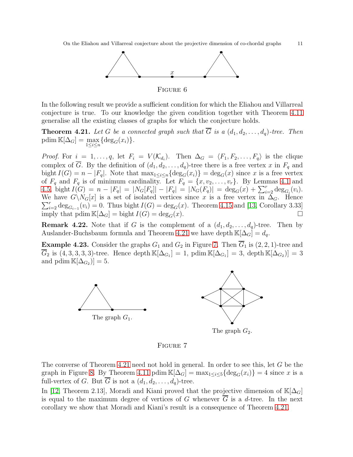<span id="page-10-1"></span>

In the following result we provide a sufficient condition for which the Eliahou and Villarreal conjecture is true. To our knowledge the given condition together with Theorem [4.11](#page-6-1) generalise all the existing classes of graphs for which the conjecture holds.

<span id="page-10-0"></span>**Theorem 4.21.** Let G be a connected graph such that  $\overline{G}$  is a  $(d_1, d_2, \ldots, d_q)$ -tree. Then pdim  $\mathbb{K}[\Delta_G] = \max_{1 \leq i \leq n} \{ \deg_G(x_i) \}.$ 

*Proof.* For  $i = 1, \ldots, q$ , let  $F_i = V(\mathcal{K}_{d_i})$ . Then  $\Delta_G = \langle F_1, F_2, \ldots, F_q \rangle$  is the clique complex of  $\overline{G}$ . By the definition of  $(d_1, d_2, \ldots, d_q)$ -tree there is a free vertex x in  $F_q$  and bight  $I(G) = n - |F_q|$ . Note that  $\max_{1 \leq i \leq n} {\deg_G(x_i)} = \deg_G(x)$  since x is a free vertex of  $F_q$  and  $F_q$  is of minimum cardinality. Let  $F_q = \{x, v_2, \ldots, v_r\}$ . By Lemmas [4.1](#page-4-1) and 4.[5,](#page-4-2) bight  $I(G) = n - |F_q| = |N_G[F_q]| - |F_q| = |N_G(F_q)| = \deg_G(x) + \sum_{i=2}^r \deg_{G_i}(v_i)$ .  $\sum_{i=2}^{r} \deg_{G_{i-1}}(v_i) = 0$ . Thus bight  $I(G) = \deg_G(x)$ . Theorem [4.15](#page-8-0) and [\[13,](#page-13-8) Corollary 3.33] We have  $G\setminus N_G[x]$  is a set of isolated vertices since x is a free vertex in  $\Delta_G$ . Hence imply that pdim  $\mathbb{K}[\Delta_G] = \text{bight } I(G) = \text{deg}_G(x)$ .

**Remark 4.22.** Note that if G is the complement of a  $(d_1, d_2, \ldots, d_q)$ -tree. Then by Auslander-Buchsbaum formula and Theorem [4.21](#page-10-0) we have depth  $\mathbb{K}[\Delta_G] = d_q$ .

<span id="page-10-2"></span>**Example 4.23.** Consider the graphs  $G_1$  and  $G_2$  in Figure [7.](#page-10-2) Then  $\overline{G}_1$  is  $(2, 2, 1)$ -tree and  $G_2$  is  $(4,3,3,3,3)$ -tree. Hence depth  $\mathbb{K}[\Delta_{G_1}] = 1$ , pdim  $\mathbb{K}[\Delta_{G_1}] = 3$ , depth  $\mathbb{K}[\Delta_{G_2}] = 3$ and pdim  $\mathbb{K}[\Delta_{G_2}] = 5.$ 



The graph  $G_2$ .

Figure 7

The converse of Theorem [4.21](#page-10-0) need not hold in general. In order to see this, let G be the graph in Figure [8.](#page-11-0) By Theorem [4.11](#page-6-1) pdim  $\mathbb{K}[\Delta_G] = \max_{1 \leq i \leq 5} {\deg_G(x_i)} = 4$  since x is a full-vertex of G. But  $\overline{G}$  is not a  $(d_1, d_2, \ldots, d_q)$ -tree.

In [\[12,](#page-13-4) Theorem 2.13], Moradi and Kiani proved that the projective dimension of  $\mathbb{K}[\Delta_G]$ is equal to the maximum degree of vertices of G whenever  $\overline{G}$  is a d-tree. In the next corollary we show that Moradi and Kiani's result is a consequence of Theorem [4.21.](#page-10-0)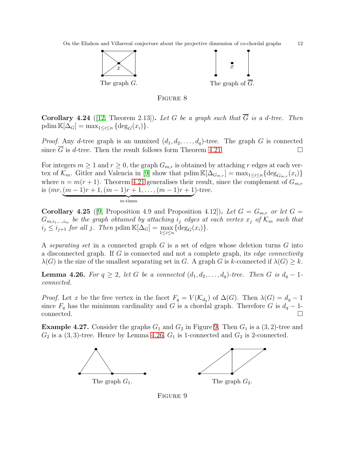<span id="page-11-0"></span>



**Corollary 4.24** ([\[12,](#page-13-4) Theorem 2.13]). Let G be a graph such that  $\overline{G}$  is a d-tree. Then pdim  $\mathbb{K}[\Delta_G] = \max_{1 \leq i \leq n} \{ \deg_G(x_i) \}.$ 

*Proof.* Any d-tree graph is an unmixed  $(d_1, d_2, \ldots, d_q)$ -tree. The graph G is connected since  $\overline{G}$  is d-tree. Then the result follows form Theorem [4.21.](#page-10-0)

For integers  $m \ge 1$  and  $r \ge 0$ , the graph  $G_{m,r}$  is obtained by attaching r edges at each vertex of  $\mathcal{K}_m$ . Gitler and Valencia in [\[9\]](#page-13-2) show that pdim  $\mathbb{K}[\Delta_{G_{m,r}}] = \max_{1 \leq i \leq n} {\deg_{G_{m,r}}(x_i)}$ where  $n = m(r + 1)$ . Theorem [4.21](#page-10-0) generalises their result, since the complement of  $G_{m,r}$ is  $(mr,(m-1)r+1,(m-1)r+1,\ldots,(m-1)r+1)$ )-tree.

 ${z}$   ${z}$   ${z}$   ${z}$   ${z}$   ${z}$   ${z}$   ${z}$   ${z}$   ${z}$   ${z}$   ${z}$   ${z}$   ${z}$   ${z}$   ${z}$   ${z}$   ${z}$   ${z}$   ${z}$   ${z}$   ${z}$   ${z}$   ${z}$   ${z}$   ${z}$   ${z}$   ${z}$   ${z}$   ${z}$   ${z}$   ${z}$   ${z}$   ${z}$   ${z}$   ${z}$   ${z}$ 

**Corollary 4.25** ([\[9,](#page-13-2) Proposition 4.9 and Proposition 4.12]). Let  $G = G_{m,r}$  or let  $G =$  $G_{m,i_1,\dots,i_m}$  be the graph obtained by attaching  $i_j$  edges at each vertex  $x_j$  of  $\mathcal{K}_m$  such that  $i_j \leq i_{j+1}$  for all j. Then pdim  $\mathbb{K}[\Delta_G] = \max_{1 \leq i \leq n} {\deg_G(x_i)}$ .

A separating set in a connected graph  $G$  is a set of edges whose deletion turns  $G$  into a disconnected graph. If G is connected and not a complete graph, its edge connectivity  $\lambda(G)$  is the size of the smallest separating set in G. A graph G is k-connected if  $\lambda(G) \geq k$ .

<span id="page-11-2"></span>**Lemma 4.26.** For  $q \geq 2$ , let G be a connected  $(d_1, d_2, \ldots, d_q)$ -tree. Then G is  $d_q - 1$ connected.

*Proof.* Let x be the free vertex in the facet  $F_q = V(\mathcal{K}_{d_q})$  of  $\Delta(G)$ . Then  $\lambda(G) = d_q - 1$ since  $F_q$  has the minimum cardinality and G is a chordal graph. Therefore G is  $d_q - 1$ - $\Box$ connected.  $\Box$ 

<span id="page-11-1"></span>**Example 4.27.** Consider the graphs  $G_1$  and  $G_2$  in Figure [9.](#page-11-1) Then  $G_1$  is a  $(3, 2)$ -tree and  $G_2$  is a  $(3,3)$ -tree. Hence by Lemma [4.26,](#page-11-2)  $G_1$  is 1-connected and  $G_2$  is 2-connected.



Figure 9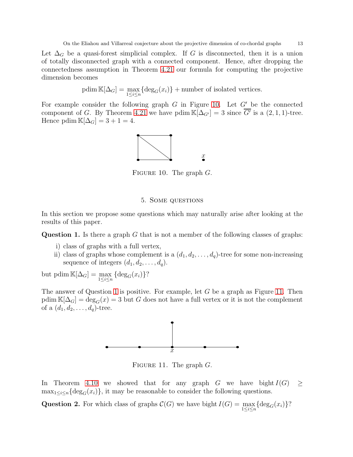Let  $\Delta_G$  be a quasi-forest simplicial complex. If G is disconnected, then it is a union of totally disconnected graph with a connected component. Hence, after dropping the connectedness assumption in Theorem [4.21](#page-10-0) our formula for computing the projective dimension becomes

$$
p\dim \mathbb{K}[\Delta_G] = \max_{1 \le i \le n} {\deg_G(x_i)} +
$$
 number of isolated vertices.

<span id="page-12-0"></span>For example consider the following graph  $G$  in Figure [10.](#page-12-0) Let  $G'$  be the connected component of G. By Theorem [4.21](#page-10-0) we have pdim  $\mathbb{K}[\Delta_{G'}]=3$  since  $\overline{G'}$  is a  $(2,1,1)$ -tree. Hence pdim  $\mathbb{K}[\Delta_G] = 3 + 1 = 4.$ 



FIGURE 10. The graph  $G$ .

### 5. Some questions

In this section we propose some questions which may naturally arise after looking at the results of this paper.

<span id="page-12-1"></span>**Question 1.** Is there a graph  $G$  that is not a member of the following classes of graphs:

- i) class of graphs with a full vertex,
- ii) class of graphs whose complement is a  $(d_1, d_2, \ldots, d_q)$ -tree for some non-increasing sequence of integers  $(d_1, d_2, \ldots, d_q)$ .

but pdim  $\mathbb{K}[\Delta_G] = \max_{1 \leq i \leq n} {\{\text{deg}_G(x_i)\}}$ ?

<span id="page-12-2"></span>The answer of Question [1](#page-12-1) is positive. For example, let  $G$  be a graph as Figure [11.](#page-12-2) Then  $\text{pdim }\mathbb{K}[\Delta_G]=\text{deg}_G(x)=3$  but G does not have a full vertex or it is not the complement of a  $(d_1, d_2, \ldots, d_q)$ -tree.



FIGURE 11. The graph  $G$ .

In Theorem [4.10](#page-6-0) we showed that for any graph G we have bight  $I(G) \geq$  $\max_{1 \leq i \leq n} {\deg_G(x_i)}$ , it may be reasonable to consider the following questions.

<span id="page-12-3"></span>Question 2. For which class of graphs  $C(G)$  we have bight  $I(G) = \max_{1 \leq i \leq n} {\deg_G(x_i)}$ ?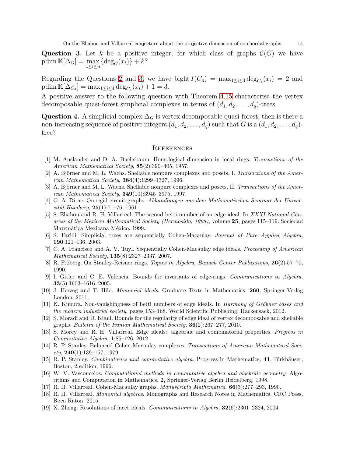<span id="page-13-19"></span>Question 3. Let k be a positive integer, for which class of graphs  $\mathcal{C}(G)$  we have pdim  $\mathbb{K}[\Delta_G] = \max_{1 \le i \le n} {\{\text{deg}_G(x_i)\} + k?}$ 

Regarding the Questions [2](#page-12-3) and [3,](#page-13-19) we have bight  $I(C_4) = \max_{1 \leq i \leq 4} \deg_{C_4}(x_i) = 2$  and pdim  $\mathbb{K}[\Delta_{C_4}] = \max_{1 \leq i \leq 4} \deg_{C_4}(x_i) + 1 = 3.$ 

A positive answer to the following question with Theorem [4.15](#page-8-0) characterise the vertex decomposable quasi-forest simplicial complexes in terms of  $(d_1, d_2, \ldots, d_q)$ -trees.

Question 4. A simplicial complex  $\Delta_G$  is vertex decomposable quasi-forest, then is there a non-increasing sequence of positive integers  $(d_1, d_2, \ldots, d_q)$  such that  $\overline{G}$  is a  $(d_1, d_2, \ldots, d_q)$ tree?

#### **REFERENCES**

- <span id="page-13-13"></span>[1] M. Auslander and D. A. Buchsbaum. Homological dimension in local rings. Transactions of the American Mathematical Society, 85(2):390–405, 1957.
- <span id="page-13-15"></span>[2] A. Björner and M. L. Wachs. Shellable nonpure complexes and posets, I. Transactions of the American Mathematical Society, 384(4):1299–1327, 1996.
- <span id="page-13-16"></span>[3] A. Björner and M. L. Wachs. Shellable nonpure complexes and posets, II. Transactions of the American Mathematical Society,  $349(10):3945-3975$ , 1997.
- <span id="page-13-17"></span>[4] G. A. Dirac. On rigid circuit graphs. Abhandlungen aus dem Mathematischen Seminar der Universität Hamburg,  $25(1):71-76$ , 1961.
- <span id="page-13-6"></span>[5] S. Eliahou and R. H. Villarreal. The second betti number of an edge ideal. In XXXI National Congress of the Mexican Mathematical Society (Hermosillo, 1998), volume 25, pages 115–119. Sociedad Matemática Mexicana México, 1999.
- <span id="page-13-18"></span><span id="page-13-14"></span>[6] S. Faridi. Simplicial trees are sequentially Cohen-Macaulay. Journal of Pure Applied Algebra, 190:121–136, 2003.
- [7] C. A. Francisco and A. V. Tuyl. Sequentially Cohen-Macaulay edge ideals. Proceeding of American Mathematical Society, 135(8):2327–2337, 2007.
- <span id="page-13-7"></span><span id="page-13-2"></span>[8] R. Fröberg. On Stanley-Reisner rings. Topics in Algebra, Banach Center Publications, 26(2):57–70, 1990.
- [9] I. Gitler and C. E. Valencia. Bounds for invariants of edge-rings. Communications in Algebra, 33(5):1603–1616, 2005.
- <span id="page-13-9"></span>[10] J. Herzog and T. Hibi. Monomial ideals. Graduate Texts in Mathematics, 260, Springer-Verlag London, 2011.
- <span id="page-13-3"></span>[11] K. Kimura. Non-vanishingness of betti numbers of edge ideals. In *Harmony of Gröbner bases and* the modern industrial society, pages 153–168. World Scientific Publishing, Hackensack, 2012.
- <span id="page-13-4"></span>[12] S. Moradi and D. Kiani. Bounds for the regularity of edge ideal of vertex decomposable and shellable graphs. Bulletin of the Iranian Mathematical Society, 36(2):267–277, 2010.
- <span id="page-13-8"></span>[13] S. Morey and R. H. Villarreal. Edge ideals: algebraic and combinatorial properties. Progress in Commutative Algebra, 1:85–126, 2012.
- <span id="page-13-1"></span>[14] R. P. Stanley. Balanced Cohen-Macaulay complexes. Transactions of American Mathematical Soci $ety, 249(1):139-157, 1979.$
- <span id="page-13-10"></span>[15] R. P. Stanley. Combinatorics and commutative algebra. Progress in Mathematics, 41, Birkhäuser, Boston, 2 edition, 1996.
- <span id="page-13-12"></span>[16] W. V. Vasconcelos. Computational methods in commutative algebra and algebraic geometry. Algorithms and Computation in Mathematics, 2, Springer-Verlag Berlin Heidelberg, 1998.
- <span id="page-13-11"></span><span id="page-13-0"></span>[17] R. H. Villarreal. Cohen-Macaulay graphs. Manuscripta Mathematica, 66(3):277–293, 1990.
- [18] R. H. Villarreal. Monomial algebras. Monographs and Research Notes in Mathematics, CRC Press, Boca Raton, 2015.
- <span id="page-13-5"></span>[19] X. Zheng. Resolutions of facet ideals. Communications in Algebra, 32(6):2301–2324, 2004.